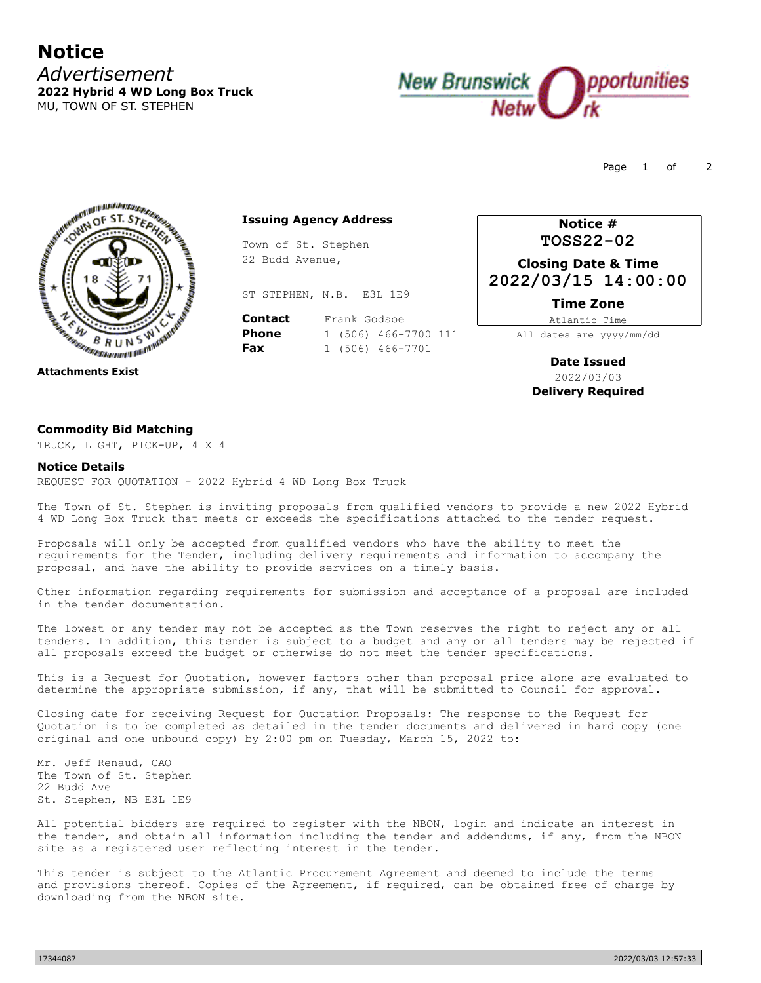## **Notice** *Advertisement* **2022 Hybrid 4 WD Long Box Truck** MU, TOWN OF ST. STEPHEN



Page 1 of 2



### **Issuing Agency Address**

Town of St. Stephen 22 Budd Avenue,

ST STEPHEN, N.B. E3L 1E9

**Contact** Frank Godsoe **Phone** 1 (506) 466-7700 111<br>**Fax** 1 (506) 466-7701 **Fax** 1 (506) 466-7701

**Notice # TOSS22-02**

**Closing Date & Time 2022/03/15 14:00:00**

**Time Zone**

Atlantic Time All dates are yyyy/mm/dd

> **Date Issued** 2022/03/03 **Delivery Required**

### **Commodity Bid Matching**

TRUCK, LIGHT, PICK-UP, 4 X 4

#### **Notice Details**

REQUEST FOR QUOTATION - 2022 Hybrid 4 WD Long Box Truck

The Town of St. Stephen is inviting proposals from qualified vendors to provide a new 2022 Hybrid 4 WD Long Box Truck that meets or exceeds the specifications attached to the tender request.

Proposals will only be accepted from qualified vendors who have the ability to meet the requirements for the Tender, including delivery requirements and information to accompany the proposal, and have the ability to provide services on a timely basis.

Other information regarding requirements for submission and acceptance of a proposal are included in the tender documentation.

The lowest or any tender may not be accepted as the Town reserves the right to reject any or all tenders. In addition, this tender is subject to a budget and any or all tenders may be rejected if all proposals exceed the budget or otherwise do not meet the tender specifications.

This is a Request for Quotation, however factors other than proposal price alone are evaluated to determine the appropriate submission, if any, that will be submitted to Council for approval.

Closing date for receiving Request for Quotation Proposals: The response to the Request for Quotation is to be completed as detailed in the tender documents and delivered in hard copy (one original and one unbound copy) by 2:00 pm on Tuesday, March 15, 2022 to:

Mr. Jeff Renaud, CAO The Town of St. Stephen 22 Budd Ave St. Stephen, NB E3L 1E9

All potential bidders are required to register with the NBON, login and indicate an interest in the tender, and obtain all information including the tender and addendums, if any, from the NBON site as a registered user reflecting interest in the tender.

This tender is subject to the Atlantic Procurement Agreement and deemed to include the terms and provisions thereof. Copies of the Agreement, if required, can be obtained free of charge by downloading from the NBON site.